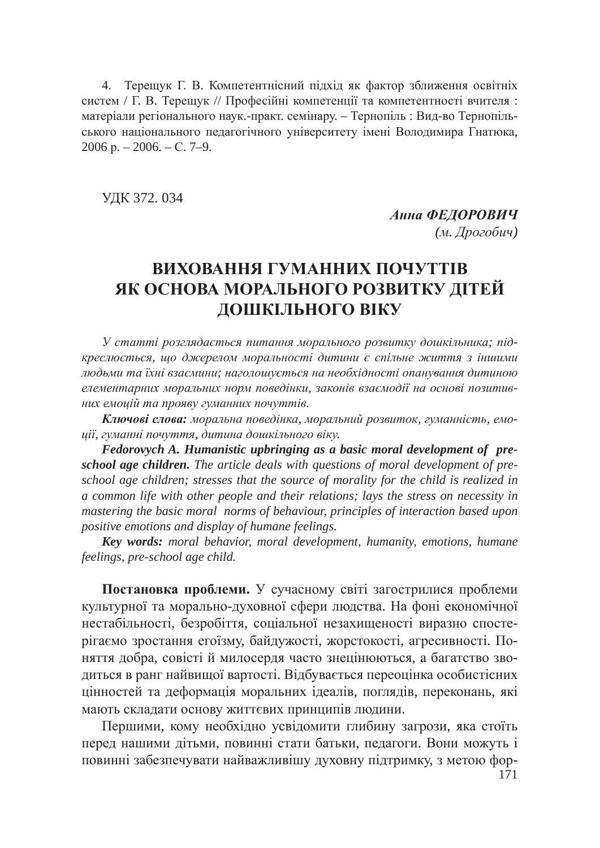4. Терещук Г. В. Компетентнісний підхід як фактор зближення освітніх систем / Г. В. Терещук // Професійні компетенції та компетентності вчителя: матеріали регіонального наук.-практ. семінару. – Тернопіль: Вид-во Тернопільського національного педагогічного університету імені Володимира Гнатюка,  $2006$  p.  $-2006$ .  $- C. 7-9$ .

ɍȾɄ 372. 034

Анна ФЕДОРОВИЧ (м. Дрогобич)

## **ВИХОВАННЯ ГУМАННИХ ПОЧУТТІВ ЯК ОСНОВА МОРАЛЬНОГО РОЗВИТКУ ДІТЕЙ** ДОШКІЛЬНОГО ВІКУ

У статті розглядається питання морального розвитку дошкільника; підкреслюється, що джерелом моральності дитини є спільне життя з іншими людьми та їхні взаємини; наголошується на необхідності опанування дитиною елементарних моральних норм поведінки, законів взаємодії на основі позитив**них емоцій та прояву гуманних почуттів.** 

Ключові слова: моральна поведінка, моральний розвиток, гуманність, емо*ɰɿʀ, ɝɭɦɚɧɧɿ ɩɨɱɭɬɬɹ, ɞɢɬɢɧɚ ɞɨɲɤɿɥɶɧɨɝɨ ɜɿɤɭ.*

*Fedorovych A. Humanistic upbringing as a basic moral development of preschool age children. The article deals with questions of moral development of preschool age children; stresses that the source of morality for the child is realized in a common life with other people and their relations; lays the stress on necessity in mastering the basic moral norms of behaviour, principles of interaction based upon positive emotions and display of humane feelings.*

*Key words: moral behavior, moral development, humanity, emotions, humane feelings, pre-school age child.*

Постановка проблеми. У сучасному світі загострилися проблеми культурної та морально-духовної сфери людства. На фоні економічної нестабільності, безробіття, соціальної незахищеності виразно спостерігаємо зростання егоїзму, байдужості, жорстокості, агресивності. Поняття добра, совісті й милосердя часто знецінюються, а багатство зводиться в ранг найвищої вартості. Відбувається переоцінка особистісних цінностей та деформація моральних ідеалів, поглядів, переконань, які мають складати основу життєвих принципів людини.

Першими, кому необхідно усвідомити глибину загрози, яка стоїть перед нашими дітьми, повинні стати батьки, педагоги. Вони можуть і повинні забезпечувати найважливішу духовну підтримку, з метою фор-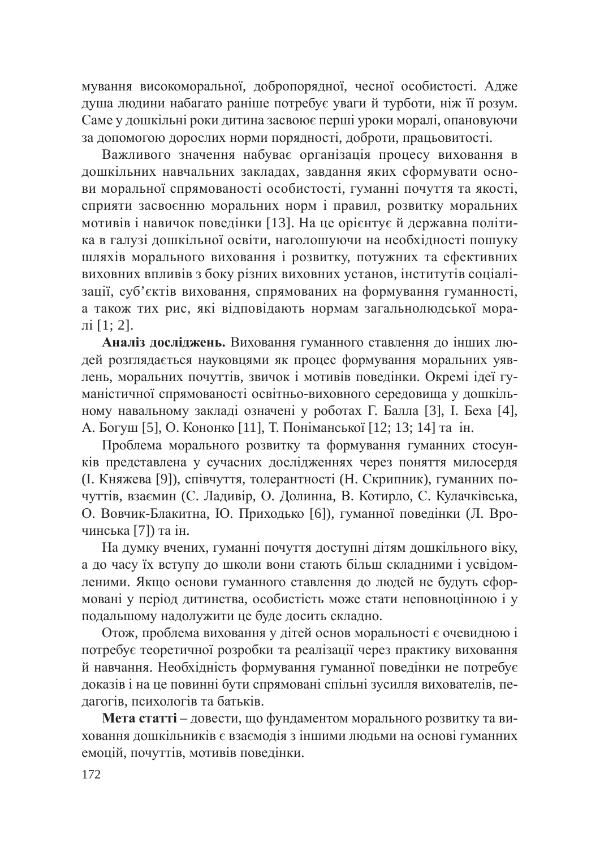мування високоморальної, добропорядної, чесної особистості. Адже душа людини набагато раніше потребує уваги й турботи, ніж її розум. Саме у дошкільні роки дитина засвоює перші уроки моралі, опановуючи за допомогою дорослих норми порядності, доброти, працьовитості.

Важливого значення набуває організація процесу виховання в дошкільних навчальних закладах, завдання яких сформувати основи моральної спрямованості особистості, гуманні почуття та якості, сприяти засвоєнню моральних норм і правил, розвитку моральних мотивів і навичок поведінки [13]. На це орієнтує й державна політика в галузі дошкільної освіти, наголошуючи на необхідності пошуку шляхів морального виховання і розвитку, потужних та ефективних виховних впливів з боку різних виховних установ, інститутів соціалізації, суб'єктів виховання, спрямованих на формування гуманності, а також тих рис, які відповідають нормам загальнолюдської моралі $[1: 2]$ .

Аналіз досліджень. Виховання гуманного ставлення до інших людей розглядається науковцями як процес формування моральних уявлень, моральних почуттів, звичок і мотивів поведінки. Окремі ідеї гуманістичної спрямованості освітньо-виховного середовища у дошкільному навальному закладі означені у роботах Г. Балла [3], І. Беха [4], А. Богуш [5], О. Кононко [11], Т. Поніманської [12; 13; 14] та ін.

Проблема морального розвитку та формування гуманних стосунків представлена у сучасних дослідженнях через поняття милосердя (І. Княжева [9]), співчуття, толерантності (Н. Скрипник), гуманних почуттів, взаємин (С. Ладивір, О. Долинна, В. Котирло, С. Кулачківська, О. Вовчик-Блакитна, Ю. Приходько [6]), гуманної поведінки (Л. Врочинська [7]) та ін.

На думку вчених, гуманні почуття доступні дітям дошкільного віку, а до часу їх вступу до школи вони стають більш складними і усвідомленими. Якщо основи гуманного ставлення до людей не будуть сформовані у період дитинства, особистість може стати неповноцінною і у подальшому надолужити це буде досить складно.

Отож, проблема виховання у дітей основ моральності є очевидною і потребує теоретичної розробки та реалізації через практику виховання й навчання. Необхідність формування гуманної поведінки не потребує доказів і на це повинні бути спрямовані спільні зусилля вихователів, педагогів, психологів та батьків.

Мета статті – довести, що фундаментом морального розвитку та виховання дошкільників є взаємодія з іншими людьми на основі гуманних емоцій, почуттів, мотивів поведінки.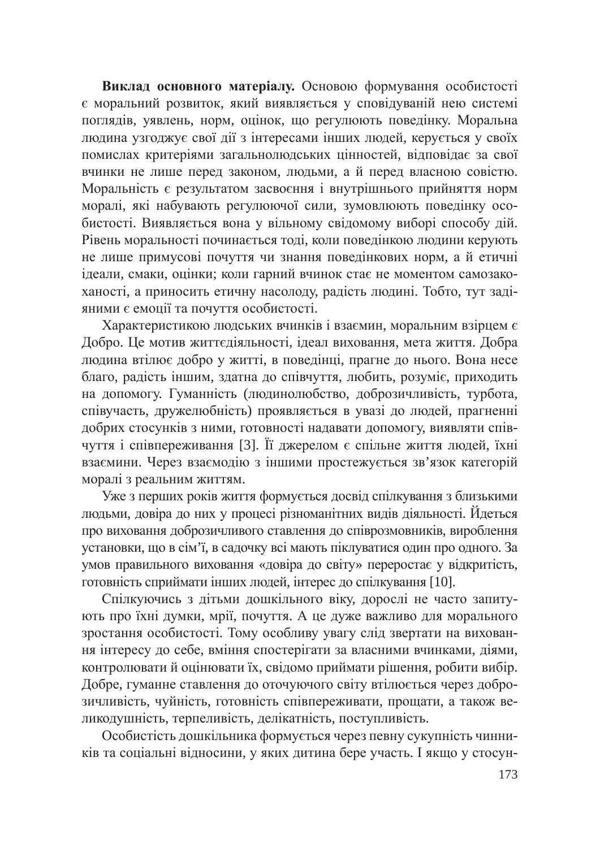Виклад основного матеріалу. Основою формування особистості € моральний розвиток, який виявляється у сповідуваній нею системі поглядів, уявлень, норм, оцінок, що регулюють поведінку. Моральна людина узгоджує свої дії з інтересами інших людей, керується у своїх помислах критеріями загальнолюдських цінностей, відповідає за свої вчинки не лише перед законом, людьми, а й перед власною совістю. Моральність є результатом засвоєння і внутрішнього прийняття норм моралі, які набувають регулюючої сили, зумовлюють поведінку особистості. Виявляється вона у вільному свідомому виборі способу дій. Рівень моральності починається тоді, коли поведінкою людини керують не лише примусові почуття чи знання поведінкових норм, а й етичні ідеали, смаки, оцінки; коли гарний вчинок стає не моментом самозакоханості, а приносить етичну насолоду, радість людині. Тобто, тут задіяними є емоції та почуття особистості.

Характеристикою людських вчинків і взаємин, моральним взірцем є Добро. Це мотив життєдіяльності, ідеал виховання, мета життя. Добра людина втілює добро у житті, в поведінці, прагне до нього. Вона несе благо, радість іншим, здатна до співчуття, любить, розуміє, приходить на допомогу. Гуманність (людинолюбство, доброзичливість, турбота, співучасть, дружелюбність) проявляється в увазі до людей, прагненні добрих стосунків з ними, готовності надавати допомогу, виявляти співчуття і співпереживання [3]. Її джерелом є спільне життя людей, їхні взаємини. Через взаємодію з іншими простежується зв'язок категорій моралі з реальним життям.

Уже з перших років життя формується досвід спілкування з близькими людьми, довіра до них у процесі різноманітних видів діяльності. Йдеться про виховання доброзичливого ставлення до співрозмовників, вироблення установки, що в сім'ї, в садочку всі мають піклуватися один про одного. За умов правильного виховання «довіра до світу» переростає у відкритість, ютовність сприймати інших людей, інтерес до спілкування [10].

Спілкуючись з дітьми дошкільного віку, дорослі не часто запитують про їхні думки, мрії, почуття. А це дуже важливо для морального зростання особистості. Тому особливу увагу слід звертати на виховання інтересу до себе, вміння спостерігати за власними вчинками, діями, контролювати й оцінювати їх, свідомо приймати рішення, робити вибір. Добре, гуманне ставлення до оточуючого світу втілюється через доброзичливість, чуйність, готовність співпереживати, прощати, а також великодушність, терпеливість, делікатність, поступливість.

Особистість дошкільника формується через певну сукупність чинників та соціальні відносини, у яких дитина бере участь. І якщо у стосун-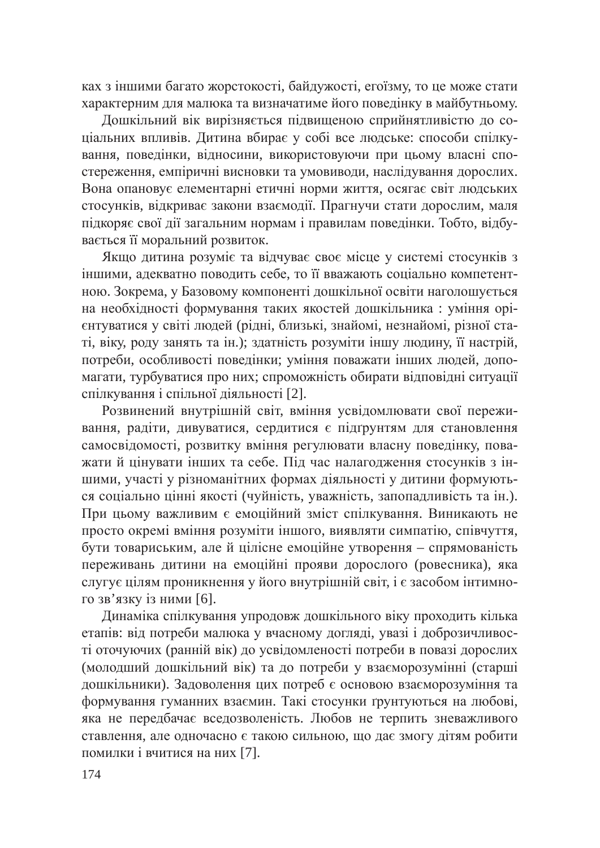ках з іншими багато жорстокості, байдужості, егоїзму, то це може стати характерним для малюка та визначатиме його поведінку в майбутньому.

Дошкільний вік вирізняється підвищеною сприйнятливістю до соціальних впливів. Дитина вбирає у собі все людське: способи спілкування, поведінки, відносини, використовуючи при цьому власні спостереження, емпіричні висновки та умовиводи, наслідування дорослих. Вона опановує елементарні етичні норми життя, осягає світ людських стосунків, відкриває закони взаємодії. Прагнучи стати дорослим, маля підкоряє свої дії загальним нормам і правилам поведінки. Тобто, відбувається її моральний розвиток.

Якщо дитина розуміє та відчуває своє місце у системі стосунків з іншими, адекватно поводить себе, то її вважають соціально компетентною. Зокрема, у Базовому компоненті дошкільної освіти наголошується на необхідності формування таких якостей дошкільника: уміння орієнтуватися у світі людей (рідні, близькі, знайомі, незнайомі, різної статі, віку, роду занять та ін.); здатність розуміти іншу людину, її настрій, потреби, особливості поведінки; уміння поважати інших людей, допомагати, турбуватися про них; спроможність обирати відповідні ситуації спілкування і спільної діяльності [2].

Розвинений внутрішній світ, вміння усвідомлювати свої переживання, радіти, дивуватися, сердитися є підгрунтям для становлення самосвідомості, розвитку вміння регулювати власну поведінку, поважати й цінувати інших та себе. Під час налагодження стосунків з іншими, участі у різноманітних формах діяльності у дитини формуються соціально цінні якості (чуйність, уважність, запопадливість та ін.). При цьому важливим є емоційний зміст спілкування. Виникають не просто окремі вміння розуміти іншого, виявляти симпатію, співчуття, бути товариським, але й цілісне емоційне утворення – спрямованість переживань дитини на емоційні прояви дорослого (ровесника), яка слугує цілям проникнення у його внутрішній світ, і є засобом інтимного зв'язку із ними [6].

Динаміка спілкування упродовж дошкільного віку проходить кілька етапів: від потреби малюка у вчасному догляді, увазі і доброзичливості оточуючих (ранній вік) до усвідомленості потреби в повазі дорослих (молодший дошкільний вік) та до потреби у взаєморозумінні (старші дошкільники). Задоволення цих потреб є основою взаєморозуміння та формування гуманних взаємин. Такі стосунки ґрунтуються на любові, яка не передбачає вседозволеність. Любов не терпить зневажливого ставлення, але одночасно є такою сильною, що дає змогу дітям робити помилки і вчитися на них [7].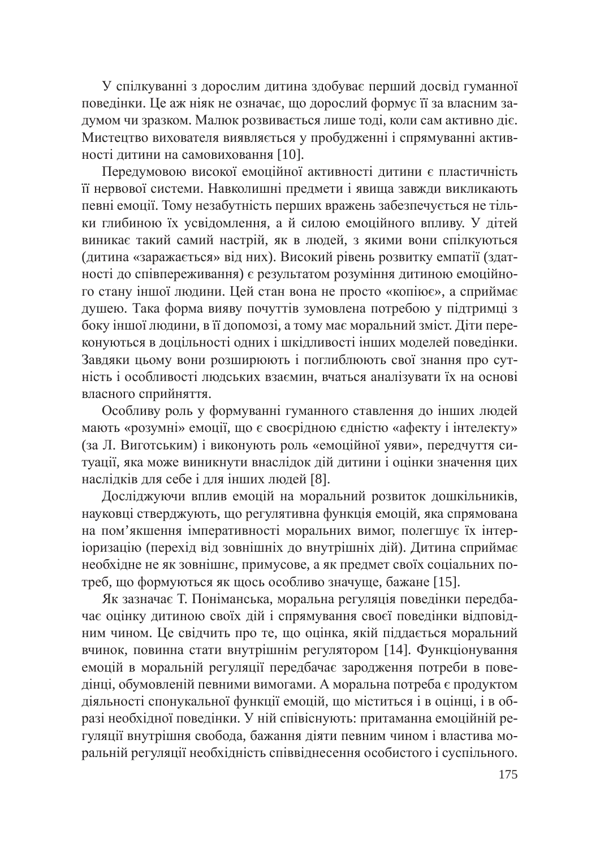У спілкуванні з дорослим дитина здобуває перший досвід гуманної поведінки. Це аж ніяк не означає, що дорослий формує її за власним задумом чи зразком. Малюк розвивається лише тоді, коли сам активно діє. Мистецтво вихователя виявляється у пробудженні і спрямуванні активності дитини на самовиховання [10].

Передумовою високої емоційної активності дитини є пластичність її нервової системи. Навколишні предмети і явища завжди викликають певні емоції. Тому незабутність перших вражень забезпечується не тільки глибиною їх усвідомлення, а й силою емоційного впливу. У дітей виникає такий самий настрій, як в людей, з якими вони спілкуються (дитина «заражається» від них). Високий рівень розвитку емпатії (здатності до співпереживання) є результатом розуміння дитиною емоційного стану іншої людини. Цей стан вона не просто «копіює», а сприймає душею. Така форма вияву почуттів зумовлена потребою у підтримці з боку іншої людини, в її допомозі, а тому має моральний зміст. Діти переконуються в доцільності одних і шкідливості інших моделей поведінки. Завдяки цьому вони розширюють і поглиблюють свої знання про сутність і особливості людських взаємин, вчаться аналізувати їх на основі власного сприйняття.

Особливу роль у формуванні гуманного ставлення до інших людей мають «розумні» емоції, що є своєрідною єдністю «афекту і інтелекту» (за Л. Виготським) і виконують роль «емоційної уяви», передчуття ситуації, яка може виникнути внаслідок дій дитини і оцінки значення цих наслідків для себе і для інших людей [8].

Досліджуючи вплив емоцій на моральний розвиток дошкільників, науковці стверджують, що регулятивна функція емоцій, яка спрямована на пом'якшення імперативності моральних вимог, полегшує їх інтеріоризацію (перехід від зовнішніх до внутрішніх дій). Дитина сприймає необхідне не як зовнішнє, примусове, а як предмет своїх соціальних потреб, що формуються як щось особливо значуще, бажане [15].

Як зазначає Т. Поніманська, моральна регуляція поведінки передбачає оцінку дитиною своїх дій і спрямування своєї поведінки відповідним чином. Це свідчить про те, що оцінка, якій піддається моральний вчинок, повинна стати внутрішнім регулятором [14]. Функціонування емоцій в моральній регуляції передбачає зародження потреби в поведінці, обумовленій певними вимогами. А моральна потреба є продуктом діяльності спонукальної функції емоцій, що міститься і в оцінці, і в образі необхідної поведінки. У ній співіснують: притаманна емоційній регуляції внутрішня свобода, бажання діяти певним чином і властива моральній регуляції необхідність співвіднесення особистого і суспільного.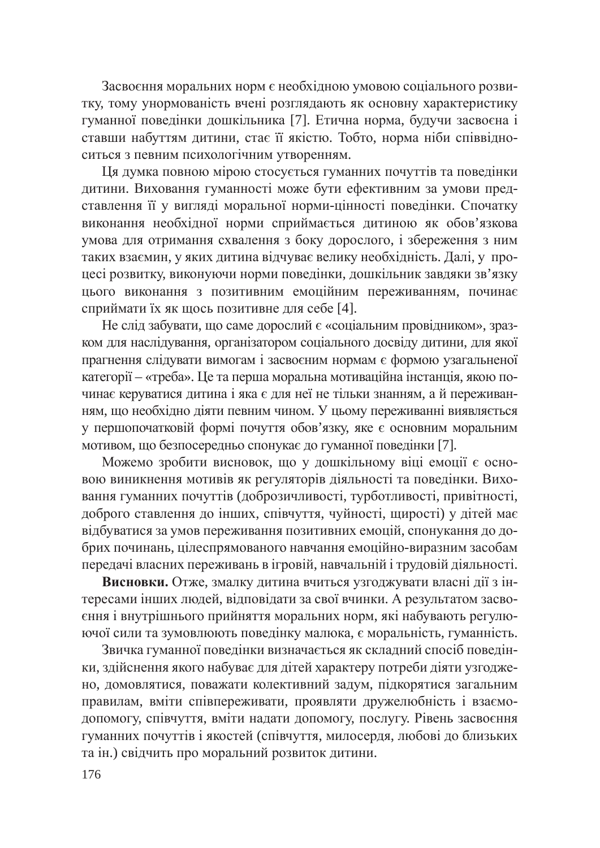Засвоєння моральних норм є необхідною умовою соціального розвитку, тому унормованість вчені розглядають як основну характеристику гуманної поведінки дошкільника [7]. Етична норма, будучи засвоєна і ставши набуттям дитини, стає її якістю. Тобто, норма ніби співвідноситься з певним психологічним утворенням.

Ця думка повною мірою стосується гуманних почуттів та поведінки дитини. Виховання гуманності може бути ефективним за умови представлення її у вигляді моральної норми-цінності поведінки. Спочатку виконання необхідної норми сприймається дитиною як обов'язкова умова для отримання схвалення з боку дорослого, і збереження з ним таких взаємин, у яких дитина відчуває велику необхідність. Далі, у процесі розвитку, виконуючи норми поведінки, дошкільник завдяки зв'язку цього виконання з позитивним емоційним переживанням, починає сприймати їх як щось позитивне для себе [4].

Не слід забувати, що саме дорослий  $\epsilon$  «соціальним провідником», зразком для наслідування, організатором соціального досвіду дитини, для якої прагнення слідувати вимогам і засвоєним нормам є формою узагальненої категорії – «треба». Це та перша моральна мотиваційна інстанція, якою починає керуватися дитина і яка є для неї не тільки знанням, а й переживанням, що необхідно діяти певним чином. У цьому переживанні виявляється у першопочатковій формі почуття обов'язку, яке є основним моральним мотивом, що безпосередньо спонукає до гуманної поведінки [7].

Можемо зробити висновок, що у дошкільному віці емоції є основою виникнення мотивів як регуляторів діяльності та поведінки. Виховання гуманних почуттів (доброзичливості, турботливості, привітності, доброго ставлення до інших, співчуття, чуйності, щирості) у дітей має відбуватися за умов переживання позитивних емоцій, спонукання до добрих починань, цілеспрямованого навчання емоційно-виразним засобам передачі власних переживань в ігровій, навчальній і трудовій діяльності.

Висновки. Отже, змалку дитина вчиться узгоджувати власні дії з інтересами інших людей, відповідати за свої вчинки. А результатом засвоєння і внутрішнього прийняття моральних норм, які набувають регулюючої сили та зумовлюють поведінку малюка, є моральність, гуманність.

Звичка гуманної поведінки визначається як складний спосіб поведінки, здійснення якого набуває для дітей характеру потреби діяти узгоджено, домовлятися, поважати колективний задум, підкорятися загальним правилам, вміти співпереживати, проявляти дружелюбність і взаємоталономогу, співчуття, вміти надати допомогу, послугу. Рівень засвоєння гуманних почуттів і якостей (співчуття, милосердя, любові до близьких та ін.) свідчить про моральний розвиток дитини.